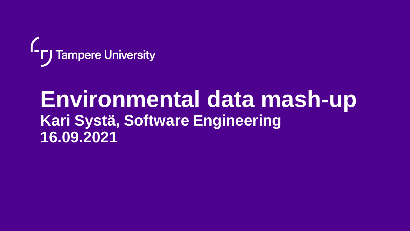

## **Environmental data mash-up Kari Systä, Software Engineering 16.09.2021**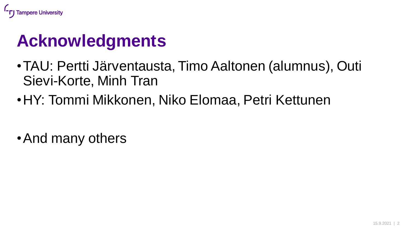

## **Acknowledgments**

- •TAU: Pertti Järventausta, Timo Aaltonen (alumnus), Outi Sievi-Korte, Minh Tran
- •HY: Tommi Mikkonen, Niko Elomaa, Petri Kettunen
- •And many others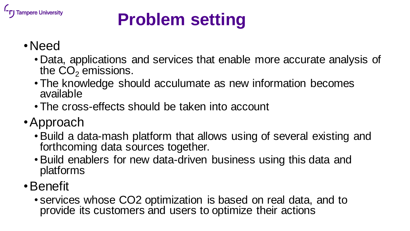

# **Problem setting**

## •Need

- Data, applications and services that enable more accurate analysis of the  $CO<sub>2</sub>$  emissions.
- The knowledge should acculumate as new information becomes available
- The cross-effects should be taken into account
- •Approach
	- •Build a data-mash platform that allows using of several existing and forthcoming data sources together.
	- •Build enablers for new data-driven business using this data and platforms
- •Benefit
	- services whose CO2 optimization is based on real data, and to provide its customers and users to optimize their actions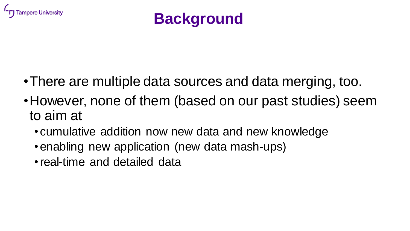



- •There are multiple data sources and data merging, too.
- •However, none of them (based on our past studies) seem to aim at
	- cumulative addition now new data and new knowledge
	- •enabling new application (new data mash-ups)
	- •real-time and detailed data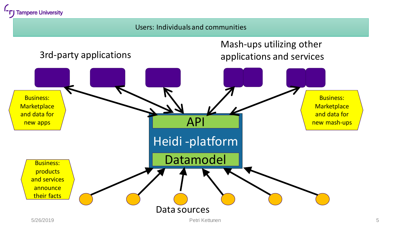

#### Users: Individualsand communities

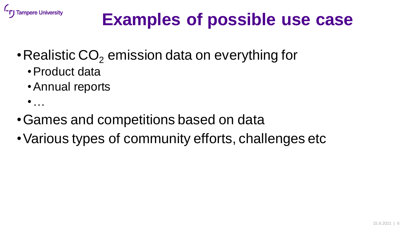

## **Examples of possible use case**

- Realistic  $CO<sub>2</sub>$  emission data on everything for
	- •Product data
	- •Annual reports
	- $\bullet$  . . .
- •Games and competitions based on data
- •Various types of community efforts, challenges etc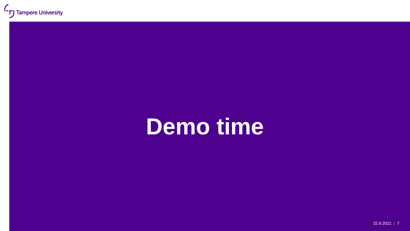# **Demo time**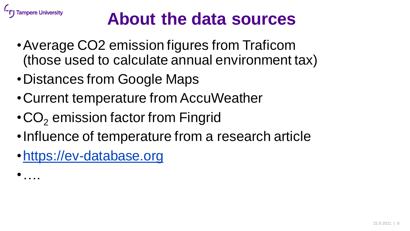

## **About the data sources**

- •Average CO2 emission figures from Traficom (those used to calculate annual environment tax)
- •Distances from Google Maps
- •Current temperature from AccuWeather
- $\cdot$  CO<sub>2</sub> emission factor from Fingrid
- •Influence of temperature from a research article
- [•https://ev-database.org](https://ev-database.org/)
- •….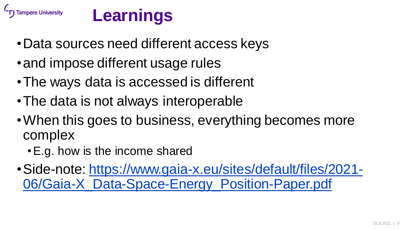



- •Data sources need different access keys
- and impose different usage rules
- •The ways data is accessed is different
- •The data is not always interoperable
- •When this goes to business, everything becomes more complex
	- •E.g. how is the income shared
- •[Side-note: https://www.gaia-x.eu/sites/default/files/2021-](https://www.gaia-x.eu/sites/default/files/2021-06/Gaia-X_Data-Space-Energy_Position-Paper.pdf) 06/Gaia-X\_Data-Space-Energy\_Position-Paper.pdf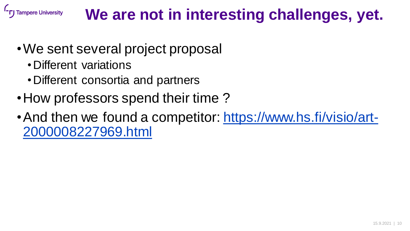### **Tampere University We are not in interesting challenges, yet.**

- •We sent several project proposal
	- •Different variations
	- •Different consortia and partners
- How professors spend their time?
- [And then we found a competitor: https://www.hs.fi/visio/art-](https://www.hs.fi/visio/art-2000008227969.html)2000008227969.html